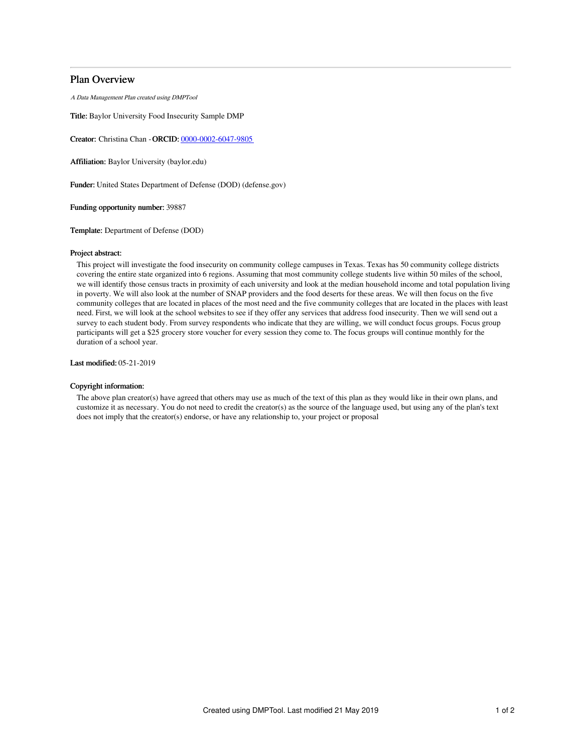# Plan Overview

A Data Management Plan created using DMPTool

Title: Baylor University Food Insecurity Sample DMP

Creator: Christina Chan -ORCID: [0000-0002-6047-9805](https://orcid.org/0000-0002-6047-9805)

Affiliation: Baylor University (baylor.edu)

Funder: United States Department of Defense (DOD) (defense.gov)

Funding opportunity number: 39887

Template: Department of Defense (DOD)

### Project abstract:

This project will investigate the food insecurity on community college campuses in Texas. Texas has 50 community college districts covering the entire state organized into 6 regions. Assuming that most community college students live within 50 miles of the school, we will identify those census tracts in proximity of each university and look at the median household income and total population living in poverty. We will also look at the number of SNAP providers and the food deserts for these areas. We will then focus on the five community colleges that are located in places of the most need and the five community colleges that are located in the places with least need. First, we will look at the school websites to see if they offer any services that address food insecurity. Then we will send out a survey to each student body. From survey respondents who indicate that they are willing, we will conduct focus groups. Focus group participants will get a \$25 grocery store voucher for every session they come to. The focus groups will continue monthly for the duration of a school year.

Last modified: 05-21-2019

## Copyright information:

The above plan creator(s) have agreed that others may use as much of the text of this plan as they would like in their own plans, and customize it as necessary. You do not need to credit the creator(s) as the source of the language used, but using any of the plan's text does not imply that the creator(s) endorse, or have any relationship to, your project or proposal